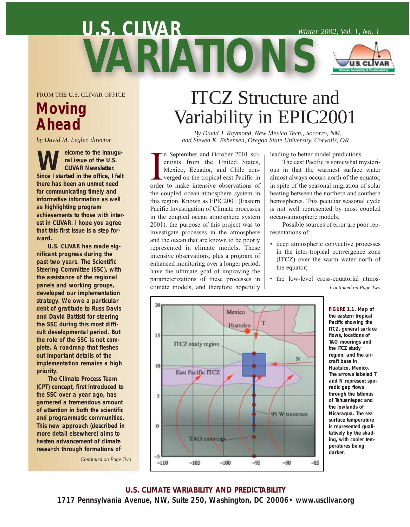# **U.S. CLIVAR U.S. CLIVAR** *Winter 2002, Vol. 1, No. 1* **VARIATIONS**

FROM THE U.S. CLIVAR OFFICE

### **Moving Ahead**

*by David M. Legler, director*

**W** clicome to the inaugu-<br>
Since I started in the office, I felt **ral issue of the U.S. CLIVAR Newsletter. there has been an unmet need for communicating timely and informative information as well as highlighting program achievements to those with interest in CLIVAR. I hope you agree that this first issue is a step forward.** 

**U.S. CLIVAR has made significant progress during the past two years. The Scientific Steering Committee (SSC), with the assistance of the regional panels and working groups, developed our implementation strategy. We owe a particular debt of gratitude to Russ Davis and David Battisti for steering the SSC during this most difficult developmental period. But the role of the SSC is not complete. A roadmap that fleshes out important details of the implementation remains a high priority.** 

**The Climate Process Team (CPT) concept, first introduced to the SSC over a year ago, has garnered a tremendous amount of attention in both the scientific and programmatic communities. This new approach (described in more detail elsewhere) aims to hasten advancement of climate research through formations of**

*Continued on Page Two*

## ITCZ Structure and Variability in EPIC2001

*By David J. Raymond, New Mexico Tech., Socorro, NM, and Steven K. Esbensen, Oregon State University, Corvalis, OR*

In September and October 2001 scientists from the United States,<br>Mexico, Ecuador, and Chile con-<br>verged on the tropical east Pacific in<br>order to make intensive observations of n September and October 2001 scientists from the United States, Mexico, Ecuador, and Chile converged on the tropical east Pacific in the coupled ocean-atmosphere system in this region. Known as EPIC2001 (Eastern Pacific Investigation of Climate processes in the coupled ocean atmosphere system 2001), the purpose of this project was to investigate processes in the atmosphere and the ocean that are known to be poorly represented in climate models. These intensive observations, plus a program of enhanced monitoring over a longer period, have the ultimate goal of improving the parameterizations of these processes in climate models, and therefore hopefully

leading to better model predictions.

The east Pacific is somewhat mysterious in that the warmest surface water almost always occurs north of the equator, in spite of the seasonal migration of solar heating between the northern and southern hemispheres. This peculiar seasonal cycle is not well represented by most coupled ocean-atmosphere models.

Possible sources of error are poor representations of:

- deep atmospheric convective processes in the inter-tropical convergence zone (ITCZ) over the warm water north of the equator;
- the low-level cross-equatorial atmos-*Continued on Page Two*



**FIGURE 1.1. Map of the eastern tropical Pacific showing the ITCZ, general surface flows, locations of TAO moorings and the ITCZ study region, and the aircraft base in Huatulco, Mexico. The arrows labeled T and N represent sporadic gap flows through the Isthmus of Tehuantepec and the lowlands of Nicaragua. The sea surface temperature is represented qualitatively by the shading, with cooler temperatures being darker.**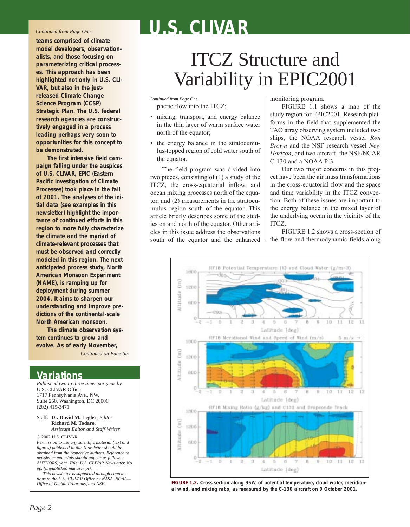#### *Continued from Page One*

**teams comprised of climate model developers, observationalists, and those focusing on parameterizing critical processes. This approach has been highlighted not only in U.S. CLI-VAR, but also in the justreleased Climate Change Science Program (CCSP) Strategic Plan. The U.S. federal research agencies are constructively engaged in a process leading perhaps very soon to opportunities for this concept to be demonstrated.**

**The first intensive field campaign falling under the auspices of U.S. CLIVAR, EPIC (Eastern Pacific Investigation of Climate Processes) took place in the fall of 2001. The analyses of the initial data (see examples in this newsletter) highlight the importance of continued efforts in this region to more fully characterize the climate and the myriad of climate-relevant processes that must be observed and correctly modeled in this region. The next anticipated process study, North American Monsoon Experiment (NAME), is ramping up for deployment during summer 2004. It aims to sharpen our understanding and improve predictions of the continental-scale North American monsoon.** 

**The climate observation system continues to grow and evolve. As of early November,**

*Continued on Page Six*

#### **Variations**

*Published two to three times per year by* U.S. CLIVAR Office 1717 Pennsylvania Ave., NW, Suite 250, Washington, DC 20006 (202) 419-3471

Staff: **Dr. David M. Legler**, *Editor* **Richard M. Todaro**, *Assistant Editor and Staff Writer*

© 2002 U.S. CLIVAR

*Permission to use any scientific material (text and figures) published in this Newsletter should be obtained from the respective authors. Reference to newsletter materials should appear as follows: AUTHORS, year. Title, U.S. CLIVAR Newsletter, No. pp. (unpublished manuscript).* 

*This newsletter is supported through contributions to the U.S. CLIVAR Office by NASA, NOAA— Office of Global Programs, and NSF.*

## ITCZ Structure and Variability in EPIC2001

pheric flow into the ITCZ; *Continued from Page One*

- mixing, transport, and energy balance in the thin layer of warm surface water north of the equator;
- the energy balance in the stratocumulus-topped region of cold water south of the equator.

The field program was divided into two pieces, consisting of (1) a study of the ITCZ, the cross-equatorial inflow, and ocean mixing processes north of the equator, and (2) measurements in the stratocumulus region south of the equator. This article briefly describes some of the studies on and north of the equator. Other articles in this issue address the observations south of the equator and the enhanced monitoring program.

FIGURE 1.1 shows a map of the study region for EPIC2001. Research platforms in the field that supplemented the TAO array observing system included two ships, the NOAA research vessel *Ron Brown* and the NSF research vessel *New Horizon*, and two aircraft, the NSF/NCAR C-130 and a NOAA P-3.

Our two major concerns in this project have been the air mass transformations in the cross-equatorial flow and the space and time variability in the ITCZ convection. Both of these issues are important to the energy balance in the mixed layer of the underlying ocean in the vicinity of the ITCZ.

FIGURE 1.2 shows a cross-section of the flow and thermodynamic fields along



**FIGURE 1.2. Cross section along 95W of potential temperature, cloud water, meridional wind, and mixing ratio, as measured by the C-130 aircraft on 9 October 2001.**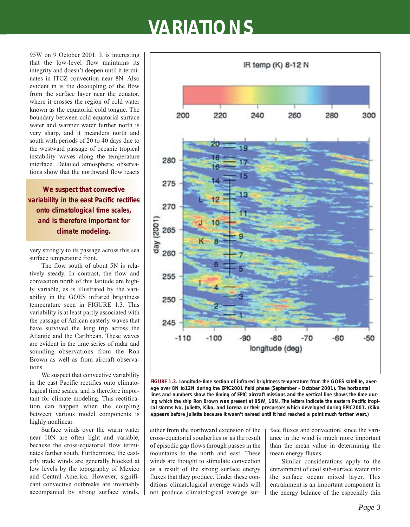95W on 9 October 2001. It is interesting that the low-level flow maintains its integrity and doesn't deepen until it terminates in ITCZ convection near 8N. Also evident in is the decoupling of the flow from the surface layer near the equator, where it crosses the region of cold water known as the equatorial cold tongue. The boundary between cold equatorial surface water and warmer water further north is very sharp, and it meanders north and south with periods of 20 to 40 days due to the westward passage of oceanic tropical instability waves along the temperature interface. Detailed atmospheric observations show that the northward flow reacts

**We suspect that convective variability in the east Pacific rectifies onto climatological time scales, and is therefore important for climate modeling.**

very strongly to its passage across this sea surface temperature front.

The flow south of about 5N is relatively steady. In contrast, the flow and convection north of this latitude are highly variable, as is illustrated by the variability in the GOES infrared brightness temperature seen in FIGURE 1.3. This variability is at least partly associated with the passage of African easterly waves that have survived the long trip across the Atlantic and the Caribbean. These waves are evident in the time series of radar and sounding observations from the Ron Brown as well as from aircraft observations.

We suspect that convective variability in the east Pacific rectifies onto climatological time scales, and is therefore important for climate modeling. This rectification can happen when the coupling between various model components is highly nonlinear.

Surface winds over the warm water near 10N are often light and variable, because the cross-equatorial flow terminates farther south. Furthermore, the easterly trade winds are generally blocked at low levels by the topography of Mexico and Central America. However, significant convective outbreaks are invariably accompanied by strong surface winds,



**FIGURE 1.3. Longitude-time section of infrared brightness temperature from the GOES satellite, average over 8N to12N during the EPIC2001 field phase (September - October 2001). The horizontal lines and numbers show the timing of EPIC aircraft missions and the vertical line shows the time during which the ship** *Ron Brown* **was present at 95W, 10N. The letters indicate the eastern Pacific tropical storms Ivo, Juliette, Kiko, and Lorena or their precursors which developed during EPIC2001. (Kiko appears before Juliette because it wasn't named until it had reached a point much farther west.)** 

either from the northward extension of the cross-equatorial southerlies or as the result of episodic gap flows through passes in the mountains to the north and east. These winds are thought to stimulate convection as a result of the strong surface energy fluxes that they produce. Under these conditions climatological average winds will not produce climatological average surface fluxes and convection, since the variance in the wind is much more important than the mean value in determining the mean energy fluxes.

Similar considerations apply to the entrainment of cool sub-surface water into the surface ocean mixed layer. This entrainment is an important component in the energy balance of the especially thin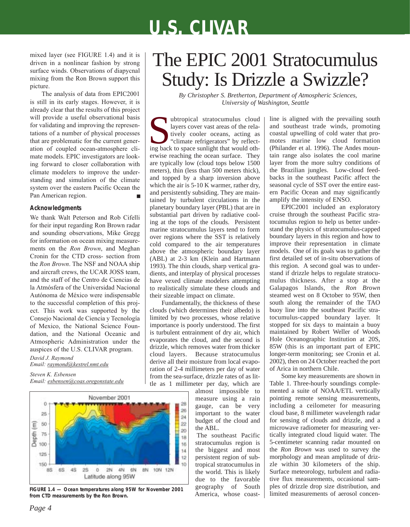mixed layer (see FIGURE 1.4) and it is driven in a nonlinear fashion by strong surface winds. Observations of diapycnal mixing from the Ron Brown support this picture.

The analysis of data from EPIC2001 is still in its early stages. However, it is already clear that the results of this project will provide a useful observational basis for validating and improving the representations of a number of physical processes that are problematic for the current generation of coupled ocean-atmosphere climate models. EPIC investigators are looking forward to closer collaboration with climate modelers to improve the understanding and simulation of the climate system over the eastern Pacific Ocean the Pan American region.

#### **Acknowledgments**

We thank Walt Peterson and Rob Cifelli for their input regarding Ron Brown radar and sounding observations, Mike Gregg for information on ocean mixing measurements on the *Ron Brown*, and Meghan Cronin for the CTD cross- section from the *Ron Brown*. The NSF and NOAA ship and aircraft crews, the UCAR JOSS team, and the staff of the Centro de Ciencias de la Atmósfera of the Universidad Nacional Autónoma de México were indispensable to the successful completion of this project. This work was supported by the Consejo Nacional de Ciencia y Tecnología of Mexico, the National Science Foundation, and the National Oceanic and Atmospheric Administration under the auspices of the U.S. CLIVAR program.

*David J. Raymond Email: raymond@kestrel.nmt.edu*

*Steven K. Esbensen Email: esbensen@coas.oregonstate.edu*



**FIGURE 1.4 — Ocean temperatures along 95W for November 2001 from CTD measurements by the** *Ron Brown.*

## The EPIC 2001 Stratocumulus Study: Is Drizzle a Swizzle?

*By Christopher S. Bretherton, Department of Atmospheric Sciences, University of Washington, Seattle*

subtropical stratocumulus cloud<br>layers cover vast areas of the rela-<br>tively cooler oceans, acting as<br>"climate refrigerators" by reflect-<br>ing back to space sunlight that would othlayers cover vast areas of the relatively cooler oceans, acting as "climate refrigerators" by reflecterwise reaching the ocean surface. They are typically low (cloud tops below 1500 meters), thin (less than 500 meters thick), and topped by a sharp inversion above which the air is 5-10 K warmer, rather dry, and persistently subsiding. They are maintained by turbulent circulations in the planetary boundary layer (PBL) that are in substantial part driven by radiative cooling at the tops of the clouds. Persistent marine stratocumulus layers tend to form over regions where the SST is relatively cold compared to the air temperatures above the atmospheric boundary layer (ABL) at 2-3 km (Klein and Hartmann 1993). The thin clouds, sharp vertical gradients, and interplay of physical processes have vexed climate modelers attempting to realistically simulate these clouds and their sizeable impact on climate.

Fundamentally, the thickness of these clouds (which determines their albedo) is limited by two processes, whose relative importance is poorly understood. The first is turbulent entrainment of dry air, which evaporates the cloud, and the second is drizzle, which removes water from thicker cloud layers. Because stratocumulus derive all their moisture from local evaporation of 2-4 millimeters per day of water from the sea-surface, drizzle rates of as little as 1 millimeter per day, which are

almost impossible to measure using a rain gauge, can be very important to the water budget of the cloud and the ABL.

The southeast Pacific stratocumulus region is the biggest and most persistent region of subtropical stratocumulus in the world. This is likely due to the favorable geography of South America, whose coastline is aligned with the prevailing south and southeast trade winds, promoting coastal upwelling of cold water that promotes marine low cloud formation (Philander et al. 1996). The Andes mountain range also isolates the cool marine layer from the more sultry conditions of the Brazilian jungles. Low-cloud feedbacks in the southeast Pacific affect the seasonal cycle of SST over the entire eastern Pacific Ocean and may significantly amplify the intensity of ENSO.

EPIC2001 included an exploratory cruise through the southeast Pacific stratocumulus region to help us better understand the physics of stratocumulus-capped boundary layers in this region and how to improve their representation in climate models. One of its goals was to gather the first detailed set of in-situ observations of this region. A second goal was to understand if drizzle helps to regulate stratocumulus thickness. After a stop at the Galapagos Islands, the *Ron Brown* steamed west on 8 October to 95W, then south along the remainder of the TAO buoy line into the southeast Pacific stratocumulus-capped boundary layer. It stopped for six days to maintain a buoy maintained by Robert Weller of Woods Hole Oceanographic Institution at 20S, 85W (this is an important part of EPIC longer-term monitoring; see Cronin et al. 2002), then on 24 October reached the port of Arica in northern Chile.

Some key measurements are shown in Table 1. Three-hourly soundings complemented a suite of NOAA/ETL vertically pointing remote sensing measurements, including a ceilometer for measuring cloud base, 8 millimeter wavelength radar for sensing of clouds and drizzle, and a microwave radiometer for measuring vertically integrated cloud liquid water. The 5-centimeter scanning radar mounted on the *Ron Brown* was used to survey the morphology and mean amplitude of drizzle within 30 kilometers of the ship. Surface meteorology, turbulent and radiative flux measurements, occasional samples of drizzle drop size distribution, and limited measurements of aerosol concen-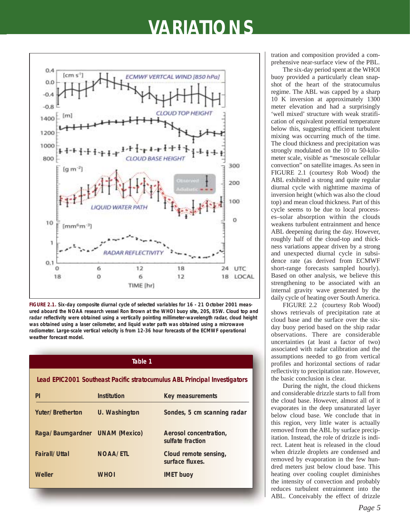

**FIGURE 2.1. Six-day composite diurnal cycle of selected variables for 16 - 21 October 2001 measured aboard the NOAA research vessel** *Ron Brown* **at the WHOI buoy site, 20S, 85W. Cloud top and radar reflectivity were obtained using a vertically pointing millimeter-wavelength radar, cloud height was obtained using a laser ceilometer, and liquid water path was obtained using a microwave radiometer. Large-scale vertical velocity is from 12-36 hour forecasts of the ECMWF operational weather forecast model.** 

| Table 1                                                                   |                 |                                            |
|---------------------------------------------------------------------------|-----------------|--------------------------------------------|
| Lead EPIC2001 Southeast Pacific stratocumulus ABL Principal Investigators |                 |                                            |
| PI                                                                        | Institution     | <b>Key measurements</b>                    |
| <b>Yuter/Bretherton</b>                                                   | U. Washington   | Sondes, 5 cm scanning radar                |
| Raga/Baumgardner UNAM (Mexico)                                            |                 | Aerosol concentration,<br>sulfate fraction |
| Fairall/Uttal                                                             | <b>NOAA/ETL</b> | Cloud remote sensing,<br>surface fluxes.   |
| <b>Weller</b>                                                             | <b>WHOI</b>     | <b>IMET buoy</b>                           |

tration and composition provided a comprehensive near-surface view of the PBL.

The six-day period spent at the WHOI buoy provided a particularly clean snapshot of the heart of the stratocumulus regime. The ABL was capped by a sharp 10 K inversion at approximately 1300 meter elevation and had a surprisingly 'well mixed' structure with weak stratification of equivalent potential temperature below this, suggesting efficient turbulent mixing was occurring much of the time. The cloud thickness and precipitation was strongly modulated on the 10 to 50-kilometer scale, visible as "mesoscale cellular convection" on satellite images. As seen in FIGURE 2.1 (courtesy Rob Wood) the ABL exhibited a strong and quite regular diurnal cycle with nighttime maxima of inversion height (which was also the cloud top) and mean cloud thickness. Part of this cycle seems to be due to local processes–solar absorption within the clouds weakens turbulent entrainment and hence ABL deepening during the day. However, roughly half of the cloud-top and thickness variations appear driven by a strong and unexpected diurnal cycle in subsidence rate (as derived from ECMWF short-range forecasts sampled hourly). Based on other analysis, we believe this strengthening to be associated with an internal gravity wave generated by the daily cycle of heating over South America.

FIGURE 2.2 (courtesy Rob Wood) shows retrievals of precipitation rate at cloud base and the surface over the sixday buoy period based on the ship radar observations. There are considerable uncertainties (at least a factor of two) associated with radar calibration and the assumptions needed to go from vertical profiles and horizontal sections of radar reflectivity to precipitation rate. However, the basic conclusion is clear.

During the night, the cloud thickens and considerable drizzle starts to fall from the cloud base. However, almost all of it evaporates in the deep unsaturated layer below cloud base. We conclude that in this region, very little water is actually removed from the ABL by surface precipitation. Instead, the role of drizzle is indirect. Latent heat is released in the cloud when drizzle droplets are condensed and removed by evaporation in the few hundred meters just below cloud base. This heating over cooling couplet diminishes the intensity of convection and probably reduces turbulent entrainment into the ABL. Conceivably the effect of drizzle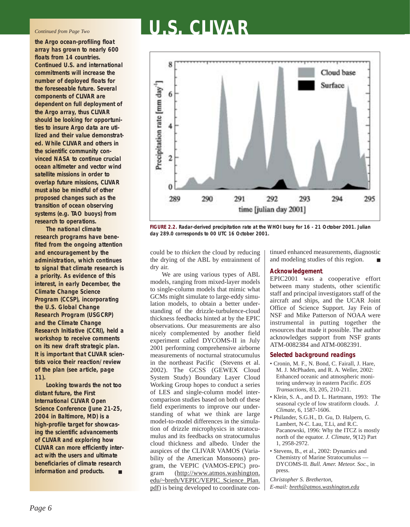#### *Continued from Page Two*

**the Argo ocean-profiling float array has grown to nearly 600 floats from 14 countries. Continued U.S. and international commitments will increase the number of deployed floats for the foreseeable future. Several components of CLIVAR are dependent on** *full* **deployment of the Argo array, thus CLIVAR should be looking for opportunities to insure Argo data are utilized and their value demonstrated. While CLIVAR and others in the scientific community convinced NASA to continue crucial ocean altimeter and vector wind satellite missions in order to overlap future missions, CLIVAR must also be mindful of other proposed changes such as the transition of ocean observing systems (e.g. TAO buoys) from research to operations.**

**The national climate research programs have benefited from the ongoing attention and encouragement by the administration, which continues to signal that climate research is a priority. As evidence of this interest, in early December, the Climate Change Science Program (CCSP), incorporating the U.S. Global Change Research Program (USGCRP) and the Climate Change Research Initiative (CCRI), held a workshop to receive comments on its new draft strategic plan. It is important that CLIVAR scientists voice their reaction/review of the plan (see article, page 11).** 

**Looking towards the not too distant future, the First International CLIVAR Open Science Conference (June 21-25, 2004 in Baltimore, MD) is a high-profile target for showcasing the scientific advancements of CLIVAR and exploring how CLIVAR can more efficiently interact with the users and ultimate beneficiaries of climate research information and products.** 

# **U.S. CLIVAR**



**FIGURE 2.2. Radar-derived precipitation rate at the WHOI buoy for 16 - 21 October 2001. Julian day 289.0 corresponds to 00 UTC 16 October 2001.** 

could be to *thicken* the cloud by reducing the drying of the ABL by entrainment of dry air.

We are using various types of ABL models, ranging from mixed-layer models to single-column models that mimic what GCMs might simulate to large-eddy simulation models, to obtain a better understanding of the drizzle-turbulence-cloud thickness feedbacks hinted at by the EPIC observations. Our measurements are also nicely complemented by another field experiment called DYCOMS-II in July 2001 performing comprehensive airborne measurements of nocturnal stratocumulus in the northeast Pacific (Stevens et al. 2002). The GCSS (GEWEX Cloud System Study) Boundary Layer Cloud Working Group hopes to conduct a series of LES and single-column model intercomparison studies based on both of these field experiments to improve our understanding of what we think are large model-to-model differences in the simulation of drizzle microphysics in stratocumulus and its feedbacks on stratocumulus cloud thickness and albedo. Under the auspices of the CLIVAR VAMOS (Variability of the American Monsoons) program, the VEPIC (VAMOS-EPIC) program (http://www.atmos.washington. edu/~breth/VEPIC/VEPIC\_Science\_Plan. pdf) is being developed to coordinate con-

tinued enhanced measurements, diagnostic and modeling studies of this region.

#### **Acknowledgement**.

EPIC2001 was a cooperative effort between many students, other scientific staff and principal investigators staff of the aircraft and ships, and the UCAR Joint Office of Science Support. Jay Fein of NSF and Mike Patterson of NOAA were instrumental in putting together the resources that made it possible. The author acknowledges support from NSF grants ATM-0082384 and ATM-0082391.

#### **Selected background readings**

- Cronin, M. F., N. Bond, C. Fairall, J. Hare, M. J. McPhaden, and R. A. Weller, 2002: Enhanced oceanic and atmospheric monitoring underway in eastern Pacific. *EOS Transactions*, 83, 205, 210-211.
- Klein, S. A., and D. L. Hartmann, 1993: The seasonal cycle of low stratiform clouds. *J. Climate*, 6, 1587-1606.
- Philander, S.G.H., D. Gu, D. Halpern, G. Lambert, N-C. Lau, T.Li, and R.C. Pacanowski, 1996: Why the ITCZ is mostly north of the equator. *J. Climate*, 9(12) Part 1, 2958-2972.
- Stevens, B., et al., 2002: Dynamics and Chemistry of Marine Stratocumulus — DYCOMS-II. *Bull. Amer. Meteor. Soc.*, in press.

*Christopher S. Bretherton, E-mail: breth@atmos.washington.edu*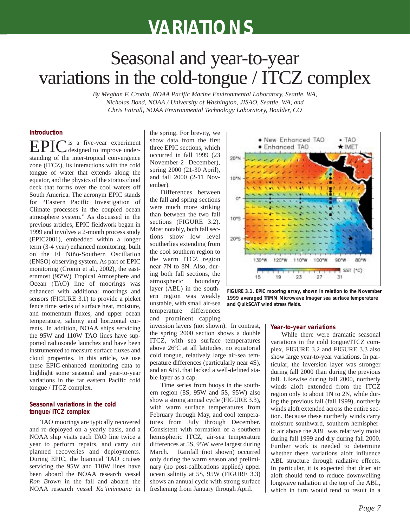## Seasonal and year-to-year variations in the cold-tongue / ITCZ complex

*By Meghan F. Cronin, NOAA Pacific Marine Environmental Laboratory, Seattle, WA, Nicholas Bond, NOAA / University of Washington, JISAO, Seattle, WA, and Chris Fairall, NOAA Environmental Technology Laboratory, Boulder, CO*

#### **Introduction**

EPIC is a five-year experiment standing of the inter-tropical convergence zone (ITCZ), its interactions with the cold tongue of water that extends along the equator, and the physics of the stratus cloud deck that forms over the cool waters off South America. The acronym EPIC stands for "Eastern Pacific Investigation of Climate processes in the coupled ocean atmosphere system." As discussed in the previous articles, EPIC fieldwork began in 1999 and involves a 2-month process study (EPIC2001), embedded within a longer term (3-4 year) enhanced monitoring, built on the El Niño-Southern Oscillation (ENSO) observing system. As part of EPIC monitoring (Cronin et al., 2002), the easternmost (95ºW) Tropical Atmosphere and Ocean (TAO) line of moorings was enhanced with additional moorings and sensors (FIGURE 3.1) to provide a picket fence time series of surface heat, moisture, and momentum fluxes, and upper ocean temperature, salinity and horizontal currents. In addition, NOAA ships servicing the 95W and 110W TAO lines have supported radiosonde launches and have been instrumented to measure surface fluxes and cloud properties. In this article, we use these EPIC-enhanced monitoring data to highlight some seasonal and year-to-year variations in the far eastern Pacific cold tongue / ITCZ complex.

#### **Seasonal variations in the cold tongue/ITCZ complex**

TAO moorings are typically recovered and re-deployed on a yearly basis, and a NOAA ship visits each TAO line twice a year to perform repairs, and carry out planned recoveries and deployments. During EPIC, the biannual TAO cruises servicing the 95W and 110W lines have been aboard the NOAA research vessel *Ron Brown* in the fall and aboard the NOAA research vessel *Ka'imimoana* in

the spring. For brevity, we show data from the first three EPIC sections, which occurred in fall 1999 (23 November-2 December), spring 2000 (21-30 April), and fall 2000 (2-11 November).

Differences between the fall and spring sections were much more striking than between the two fall sections (FIGURE 3.2). Most notably, both fall sections show low level southerlies extending from the cool southern region to the warm ITCZ region near 7N to 8N. Also, during both fall sections, the atmospheric boundary layer (ABL) in the southern region was weakly unstable, with small air-sea temperature differences and prominent capping

inversion layers (not shown). In contrast, the spring 2000 section shows a double ITCZ, with sea surface temperatures above 26ºC at all latitudes, no equatorial cold tongue, relatively large air-sea temperature differences (particularly near 4S), and an ABL that lacked a well-defined stable layer as a cap.

Time series from buoys in the southern region (8S, 95W and 5S, 95W) also show a strong annual cycle (FIGURE 3.3), with warm surface temperatures from February through May, and cool temperatures from July through December. Consistent with formation of a southern hemispheric ITCZ, air-sea temperature differences at 5S, 95W were largest during March. Rainfall (not shown) occurred only during the warm season and preliminary (no post-calibrations applied) upper ocean salinity at 5S, 95W (FIGURE 3.3) shows an annual cycle with strong surface freshening from January through April.



**FIGURE 3.1. EPIC mooring array, shown in relation to the November 1999 averaged TRMM Microwave Imager sea surface temperature and QuikSCAT wind stress fields.** 

#### **Year-to-year variations**

While there were dramatic seasonal variations in the cold tongue/ITCZ complex, FIGURE 3.2 and FIGURE 3.3 also show large year-to-year variations. In particular, the inversion layer was stronger during fall 2000 than during the previous fall. Likewise during fall 2000, northerly winds aloft extended from the ITCZ region only to about 1N to 2N, while during the previous fall (fall 1999), northerly winds aloft extended across the entire section. Because these northerly winds carry moisture southward, southern hemispheric air above the ABL was relatively moist during fall 1999 and dry during fall 2000. Further work is needed to determine whether these variations aloft influence ABL structure through radiative effects. In particular, it is expected that drier air aloft should tend to reduce downwelling longwave radiation at the top of the ABL, which in turn would tend to result in a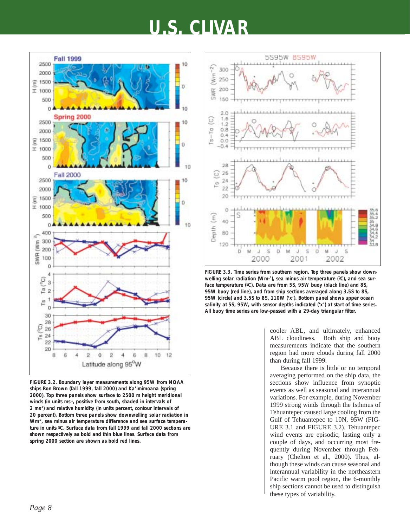

**FIGURE 3.2. Boundary layer measurements along 95W from NOAA ships Ron Brown (fall 1999, fall 2000) and** *Ka'imimoana* **(spring 2000). Top three panels show surface to 2500 m height meridional** winds (in units ms<sup>-1</sup>, positive from south, shaded in intervals of **2 ms-1) and relative humidity (in units percent, contour intervals of 20 percent). Bottom three panels show downwelling solar radiation in** Wm<sup>-2</sup>, sea minus air temperature difference and sea surface tempera**ture in units ºC. Surface data from fall 1999 and fall 2000 sections are shown respectively as bold and thin blue lines. Surface data from spring 2000 section are shown as bold red lines.**



**FIGURE 3.3. Time series from southern region. Top three panels show down**welling solar radiation (Wm-<sup>2</sup>), sea minus air temperature (°C), and sea sur**face temperature (ºC). Data are from 5S, 95W buoy (black line) and 8S, 95W buoy (red line), and from ship sections averaged along 3.5S to 8S, 95W (circle) and 3.5S to 8S, 110W ('x'). Bottom panel shows upper ocean salinity at 5S, 95W, with sensor depths indicated ('x') at start of time series. All buoy time series are low-passed with a 29-day triangular filter.**

cooler ABL, and ultimately, enhanced ABL cloudiness. Both ship and buoy measurements indicate that the southern region had more clouds during fall 2000 than during fall 1999.

Because there is little or no temporal averaging performed on the ship data, the sections show influence from synoptic events as well as seasonal and interannual variations. For example, during November 1999 strong winds through the Isthmus of Tehuantepec caused large cooling from the Gulf of Tehuantepec to 10N, 95W (FIG-URE 3.1 and FIGURE 3.2). Tehuantepec wind events are episodic, lasting only a couple of days, and occurring most frequently during November through February (Chelton et al., 2000). Thus, although these winds can cause seasonal and interannual variability in the northeastern Pacific warm pool region, the 6-monthly ship sections cannot be used to distinguish these types of variability.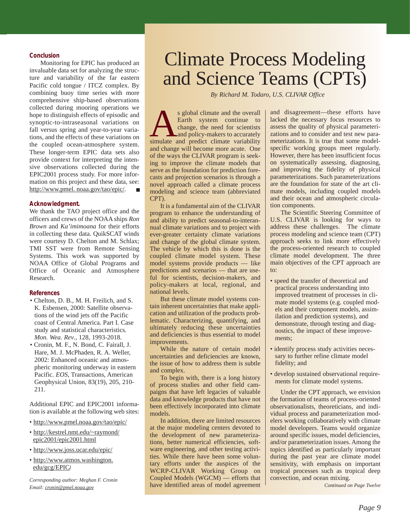#### **Conclusion**

Monitoring for EPIC has produced an invaluable data set for analyzing the structure and variability of the far eastern Pacific cold tongue / ITCZ complex. By combining buoy time series with more comprehensive ship-based observations collected during mooring operations we hope to distinguish effects of episodic and synoptic-to-intraseasonal variations on fall versus spring and year-to-year variations, and the effects of these variations on the coupled ocean-atmosphere system. These longer-term EPIC data sets also provide context for interpreting the intensive observations collected during the EPIC2001 process study. For more information on this project and these data, see: http://www.pmel. noaa.gov/tao/epic/.

#### **Acknowledgment.**

We thank the TAO project office and the officers and crews of the NOAA ships *Ron Brown* and *Ka'imimoana* for their efforts in collecting these data. QuikSCAT winds were courtesy D. Chelton and M. Schlax; TMI SST were from Remote Sensing Systems. This work was supported by NOAA Office of Global Programs and Office of Oceanic and Atmosphere Research.

#### **References**

- Chelton, D. B., M. H. Freilich, and S. K. Esbensen, 2000: Satellite observations of the wind jets off the Pacific coast of Central America. Part I. Case study and statistical characteristics*. Mon. Wea. Rev*., 128, 1993-2018.
- Cronin, M. F., N. Bond, C. Fairall, J. Hare, M. J. McPhaden, R. A. Weller, 2002: Enhanced oceanic and atmospheric monitoring underway in eastern Pacific. *EOS*, Transactions, American Geophysical Union, 83(19), 205, 210- 211.

Additional EPIC and EPIC2001 information is available at the following web sites:

- http://www.pmel.noaa.gov/tao/epic/
- http://kestrel.nmt.edu/~raymond/ epic2001/epic2001.html
- http://www.joss.ucar.edu/epic/
- http://www.atmos.washington. edu/gcg/EPIC**/**

*Corresponding author: Meghan F. Cronin Email: cronin@pmel.noaa.gov*

## Climate Process Modeling and Science Teams (CPTs)

*By Richard M. Todaro, U.S. CLIVAR Office* 

s global climate and the overall<br>Earth system continue to<br>change, the need for scientists<br>and policy-makers to accurately<br>simulate and predict climate variability Earth system continue to change, the need for scientists and policy-makers to accurately and change will become more acute. One of the ways the CLIVAR program is seeking to improve the climate models that serve as the foundation for prediction forecasts and projection scenarios is through a novel approach called a climate process modeling and science team (abbreviated CPT).

It is a fundamental aim of the CLIVAR program to enhance the understanding of and ability to predict seasonal-to-interannual climate variations and to project with ever-greater certainty climate variations and change of the global climate system. The vehicle by which this is done is the coupled climate model system. These model systems provide products — like predictions and scenarios — that are useful for scientists, decision-makers, and policy-makers at local, regional, and national levels.

But these climate model systems contain inherent uncertainties that make application and utilization of the products problematic. Characterizing, quantifying, and ultimately reducing these uncertainties and deficiencies is thus essential to model improvements.

While the nature of certain model uncertainties and deficiencies are known, the issue of how to address them is subtle and complex.

To begin with, there is a long history of process studies and other field campaigns that have left legacies of valuable data and knowledge products that have not been effectively incorporated into climate models.

In addition, there are limited resources at the major modeling centers devoted to the development of new parameterizations, better numerical efficiencies, software engineering, and other testing activities. While there have been some voluntary efforts under the auspices of the WCRP-CLIVAR Working Group on Coupled Models (WGCM) — efforts that have identified areas of model agreement

and disagreement—these efforts have lacked the necessary focus resources to assess the quality of physical parameterizations and to consider and test new parameterizations. It is true that some modelspecific working groups meet regularly. However, there has been insufficient focus on systematically assessing, diagnosing, and improving the fidelity of physical parameterizations. Such parameterizations are the foundation for state of the art climate models, including coupled models and their ocean and atmospheric circulation components.

The Scientific Steering Committee of U.S. CLIVAR is looking for ways to address these challenges. The climate process modeling and science team (CPT) approach seeks to link more effectively the process-oriented research to coupled climate model development. The three main objectives of the CPT approach are to:

- speed the transfer of theoretical and practical process understanding into improved treatment of processes in climate model systems (e.g. coupled models and their component models, assimilation and prediction systems), and demonstrate, through testing and diagnostics, the impact of these improvements;
- identify process study activities necessary to further refine climate model fidelity; and
- develop sustained observational requirements for climate model systems.

Under the CPT approach, we envision the formation of teams of process-oriented observationalists, theoreticians, and individual process and parameterization modelers working collaboratively with climate model developers. Teams would organize around specific issues, model deficiencies, and/or parameterization issues. Among the topics identified as particularly important during the past year are climate model sensitivity, with emphasis on important tropical processes such as tropical deep convection, and ocean mixing.

*Continued on Page Twelve*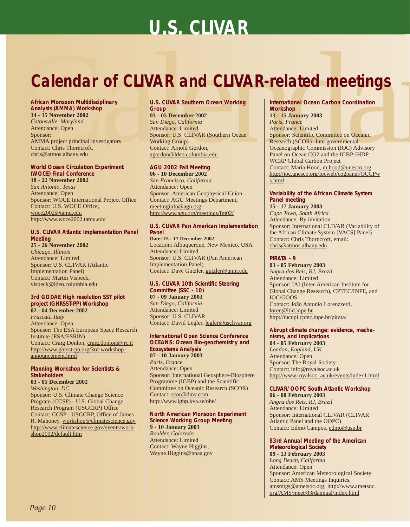# **Calendar of CLIVAR and CLIVAR-related meetings**<br>
African Monsoon Multidisciplinary<br>
Analysis (AMMA) Workshop<br>
Analysis (AMMA) Workshop<br>  $\frac{(\text{Conv} \text{Number of 2002})}{\text{A12} + \text{B12} + \text{M12}}$ <br>
Catomsville, Maryland investigators<br> **Calendar of CLIVAR and CLIVAR-related meetings**

#### **African Monsoon Multidisciplinary Analysis (AMMA) Workshop 14 - 15 November 2002**

*Catonsville, Maryland* Attendance: Open Sponsor: AMMA project principal investigators Contact: Chris Thorncroft, chris@atmos.albany.edu

#### **World Ocean Circulation Experiment (WOCE) Final Conference 18 - 22 November 2002**

*San Antonio, Texas* Attendance: Open Sponsor: WOCE International Project Office Contact: U.S. WOCE Office, woce2002@tamu.edu http://www.woce2002.tamu.edu

#### **U.S. CLIVAR Atlantic Implementation Panel Meeting**

**25 - 26 November 2002** *Chicago, Illinois* Attendance: Limited Sponsor: U.S. CLIVAR (Atlantic Implementation Panel) Contact: Martin Visbeck, visbeck@ldeo.columbia.edu

#### **3rd GODAE High resolution SST pilot project (GHRSST-PP) Workshop 02 - 04 December 2002**

*Frascati, Italy*  Attendance: Open Sponsor: The ESA European Space Research Institute (ESA/ESRIN) Contact: Craig Donlon, craig.donlon@jrc.it http://www.ghrsst-pp.org/3rd-workshopannouncement.html

#### **Planning Workshop for Scientists & Stakeholders**

**03 - 05 December 2002**  *Washington, DC* Sponsor: U.S. Climate Change Science Program (CCSP) - U.S. Global Change Research Program (USGCRP) Office Contact: CCSP - USGCRP, Office of James R. Mahoney, workshop@climatescience.gov http://www.climatescience.gov/events/workshop2002/default.htm

#### **U.S. CLIVAR Southern Ocean Working Group**

**03 - 05 December 2002** *San Diego, California* Attendance: Limited Sponsor: U.S. CLIVAR (Southern Ocean Working Group) Contact: Arnold Gordon, agordon@ldeo.columbia.edu

#### **AGU 2002 Fall Meeting**

**06 - 10 December 2002** *San Francisco, California* Attendance: Open Sponsor: American Geophysical Union Contact: AGU Meetings Department, meetinginfo@agu.org http://www.agu.org/meetings/fm02/

#### **U.S. CLIVAR Pan American Implementation Panel**

**Date: 15 - 17 December 2002**  Location: Albuquerque, New Mexico, USA Attendance: Limited Sponsor: U.S. CLIVAR (Pan American Implementation Panel) Contact: Dave Gutzler, gutzler@unm.edu

#### **U.S. CLIVAR 10th Scientific Steering Committee (SSC - 10)**

**07 - 09 January 2003** *San Diego, California* Attendance: Limited Sponsor: U.S. CLIVAR Contact: David Legler, legler@usclivar.org

#### **International Open Science Conference OCEANS: Ocean Bio-geochemistry and Ecosystems Analysis 07 - 10 January 2003**  *Paris, France* Attendance: Open Sponsor: International Geosphere-Biosphere

Programme (IGBP) and the Scientific Committee on Oceanic Research (SCOR) Contact: scor@dmv.com http://www.igbp.kva.se/obe/

#### **North American Monsoon Experiment Science Working Group Meeting 9 - 10 January 2003**

*Boulder, Colorado* Attendance: Limited Contact: Wayne Higgins, Wayne.Higgins@noaa.gov

#### **International Ocean Carbon Coordination Workshop**

**13 - 15 January 2003** *Paris, France*  Attendance: Limited Sponsor: Scientific Committee on Oceanic Research (SCOR) -Intergovernmental Oceanographic Commission (IOC) Advisory Panel on Ocean CO2 and the IGBP-IHDP-WCRP Global Carbon Project Contact: Maria Hood, m.hood@unesco.org http://ioc.unesco.org/iocweb/co2panel/OCCPw s.html

#### **Variability of the African Climate System Panel meeting**

**15 - 17 January 2003** *Cape Town, South Africa*  Attendance: By invitation Sponsor: International CLIVAR (Variability of the African Climate System [VACS] Panel) Contact: Chris Thorncroft, email: chris@atmos.albany.edu

#### **PIRATA - 9**

**03 - 05 February 2003** *Angra dos Reis, RJ, Brazil*  Attendance: Limited Sponsor: IAI (Inter-American Institute for Global Change Research), CPTEC/INPE, and IOC/GOOS Contact: João Antonio Lorenzzetti, loren@ltid.inpe.br http://tucupi.cptec.inpe.br/pirata/

#### **Abrupt climate change: evidence, mechanisms, and implications**

**04 - 05 February 2003** *London, England, UK*  Attendance: Open Sponsor: The Royal Society Contact: info@royalsoc.ac.uk http://www.royalsoc. ac.uk/events/index1.html

#### **CLIVAR/OOPC South Atlantic Workshop**

**06 - 08 February 2003** *Angra dos Reis, RJ, Brazil*  Attendance: Limited Sponsor: International CLIVAR (CLIVAR Atlantic Panel and the OOPC) Contact: Edmo Campos, edmo@usp.br

#### **83rd Annual Meeting of the American Meteorological Society 09 - 13 February 2003**

*Long Beach, California* Attendance: Open Sponsor: American Meteorological Society Contact: AMS Meetings Inquiries, amsmtgs@ametsoc.org; http://www.ametsoc. org/AMS/meet/83rdannual/index.html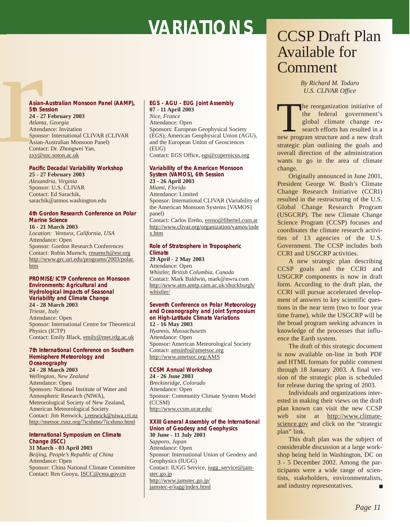Asian<br>5th Se<br>24 - 2'<br>Atlant<br>Attend<br>Spons<br>Asian-<br>Contae<br><u>zxy@s</u><br>Pacific **Asian-Australian Monsoon Panel (AAMP), 5th Session 24 - 27 February 2003** *Atlanta, Georgia* Attendance: Invitation Sponsor: International CLIVAR (CLIVAR Asian-Australian Monsoon Panel) Contact: Dr. Zhongwei Yan, zxy@soc.soton.ac.uk

#### **Pacific Decadal Variability Workshop**

**25 - 27 February 2003** *Alexandria, Virginia* Sponsor: U.S. CLIVAR Contact: Ed Sarachik, sarachik@atmos.washington.edu

#### **4th Gordon Research Conference on Polar Marine Science**

**16 - 21 March 2003** *Location: Ventura, California, USA* Attendance: Open Sponsor: Gordon Research Conferences Contact: Robin Muench, rmuench@esr.org http://www.grc.uri.edu/programs/2003/polar. htm

#### **PROMISE/ICTP Conference on Monsoon Environments: Agricultural and Hydrological Impacts of Seasonal Variability and Climate Change 24 - 28 March 2003**

*Trieste, Italy*  Attendance: Open Sponsor: International Centre for Theoretical Physics (ICTP) Contact: Emily Black, emily@met.rdg.ac.uk

#### **7th International Conference on Southern Hemisphere Meteorology and Oceanography**

**24 - 28 March 2003**

*Wellington, New Zealand*  Attendance: Open Sponsors: National Institute of Water and Atmospheric Research (NIWA), Meteorological Society of New Zealand, American Meteorological Society Contact: Jim Renwick, j.renwick@niwa.cri.nz http://metsoc.rsnz.org/7icshmo/7icshmo.html

#### **International Symposium on Climate Change (ISCC)**

**31 March - 03 April 2003** *Beijing, People's Republic of China* Attendance: Open Sponsor: China National Climate Committee Contact: Ren Guoyu, ISCC@cma.gov.cn

#### **EGS - AGU - EUG Joint Assembly 07 - 11 April 2003**

*Nice, France* Attendance: Open Sponsors: European Geophysical Society (EGS), American Geophysical Union (AGU), and the European Union of Geosciences (EUG) Contact: EGS Office, egs@copernicus.org

#### **Variability of the American Monsoon System (VAMOS), 6th Session 23 - 26 April 2003**

*Miami, Florida* Attendance: Limited Sponsor: International CLIVAR (Variability of the American Monsoon Systems [VAMOS] panel) Contact: Carlos Ereño, ereno@fibertel.com.ar http://www.clivar.org/organization/vamos/inde x.htm

#### **Role of Stratosphere in Tropospheric Climate**

**29 April - 2 May 2003** Attendance: Open *Whistler, British Columbia, Canada* Contact: Mark Baldwin, mark@nwra.com http://www.atm.amtp.cam.ac.uk/shuckburgh/ whistler/

#### **Seventh Conference on Polar Meteorology and Oceanography and Joint Symposium on High-Latitude Climate Variations**

**12 - 16 May 2003** *Hyannis, Massachusetts* Attendance: Open Sponsor: American Meteorological Society Contact: amsinfo@ametsoc.org http://www.ametsoc.org/AMS

#### **CCSM Annual Workshop**

**24 - 26 June 2003** *Breckinridge, Colorado* Attendance: Open Sponsor: Community Climate System Model (CCSM) http://www.ccsm.ucar.edu/

#### **XXIII General Assembly of the International Union of Geodesy and Geophysics 30 June - 11 July 2003**

*Sapporo, Japan* Attendance: Open Sponsor: International Union of Geodesy and Geophysics (IUGG) Contact: IUGG Service, iugg\_service@jamstec.go.jp http://www.jamstec.go.jp/ jamstec-e/iugg/index.html

## CCSP Draft Plan Available for Comment

*By Richard M. Todaro U.S. CLIVAR Office*

The reorganization initiative of<br>
the federal government's<br>
global climate change re-<br>
search efforts has resulted in a<br>
new program structure and a new draft the federal government's global climate change research efforts has resulted in a strategic plan outlining the goals and overall direction of the administration wants to go in the area of climate change.

Originally announced in June 2001, President George W. Bush's Climate Change Research Initiative (CCRI) resulted in the restructuring of the U.S. Global Change Research Program (USGCRP). The new Climate Change Science Program (CCSP) focuses and coordinates the climate research activities of 13 agencies of the U.S. Government. The CCSP includes both CCRI and USGCRP activities.

A new strategic plan describing CCSP goals and the CCRI and USGCRP components is now in draft form. According to the draft plan, the CCRI will pursue accelerated development of answers to key scientific questions in the near term (two to four year time frame), while the USGCRP will be the broad program seeking advances in knowledge of the processes that influence the Earth system.

The draft of this strategic document is now available on-line in both PDF and HTML formats for public comment through 18 January 2003. A final version of the strategic plan is scheduled for release during the spring of 2003.

Individuals and organizations interested in making their views on the draft plan known can visit the new CCSP web site at http://www.climatescience.gov and click on the "strategic plan" link.

This draft plan was the subject of considerable discussion at a large workshop being held in Washington, DC on 3 - 5 December 2002. Among the participants were a wide range of scientists, stakeholders, environmentalists, and industry representatives. ■